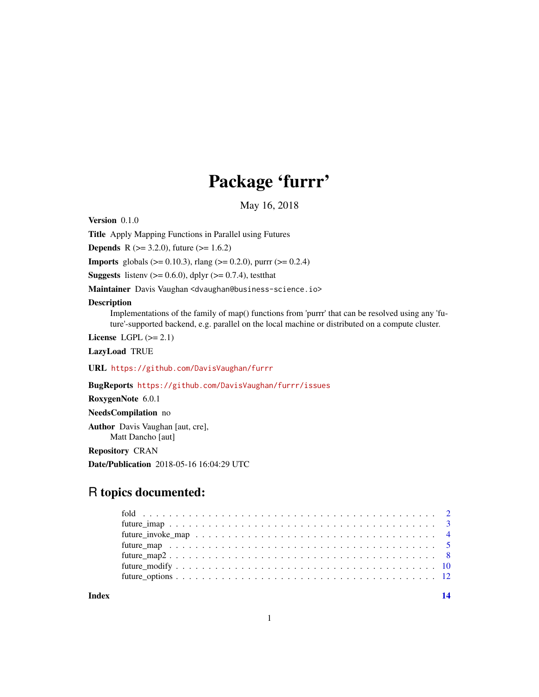## Package 'furrr'

May 16, 2018

<span id="page-0-0"></span>Version 0.1.0

Title Apply Mapping Functions in Parallel using Futures

**Depends** R ( $>= 3.2.0$ ), future ( $>= 1.6.2$ )

**Imports** globals ( $>= 0.10.3$ ), rlang ( $>= 0.2.0$ ), purrr ( $>= 0.2.4$ )

**Suggests** listenv ( $>= 0.6.0$ ), dplyr ( $>= 0.7.4$ ), testthat

Maintainer Davis Vaughan <dvaughan@business-science.io>

## Description

Implementations of the family of map() functions from 'purrr' that can be resolved using any 'future'-supported backend, e.g. parallel on the local machine or distributed on a compute cluster.

License LGPL  $(>= 2.1)$ 

LazyLoad TRUE

URL <https://github.com/DavisVaughan/furrr>

BugReports <https://github.com/DavisVaughan/furrr/issues>

RoxygenNote 6.0.1

NeedsCompilation no

Author Davis Vaughan [aut, cre], Matt Dancho [aut]

Repository CRAN

Date/Publication 2018-05-16 16:04:29 UTC

## R topics documented:

**Index** 2008 **[14](#page-13-0)**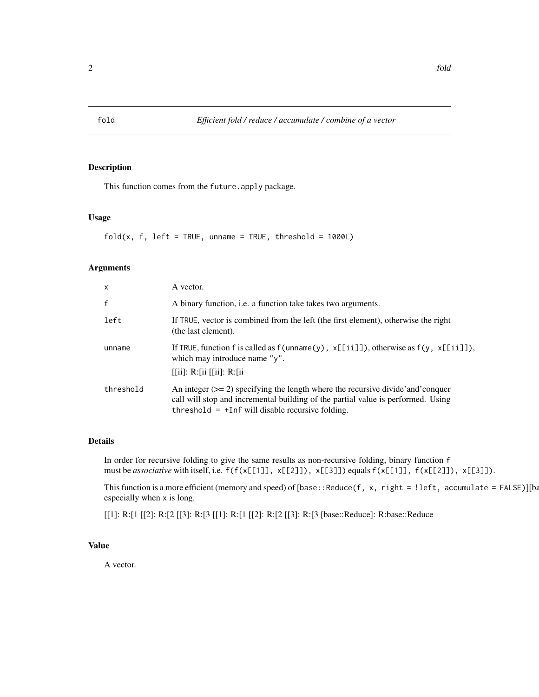<span id="page-1-0"></span>

## Description

This function comes from the future.apply package.

## Usage

 $fold(x, f, left = TRUE, unname = TRUE, threshold = 1000L)$ 

## Arguments

| x            | A vector.                                                                                                                                                                                                                   |
|--------------|-----------------------------------------------------------------------------------------------------------------------------------------------------------------------------------------------------------------------------|
| $\mathsf{f}$ | A binary function, <i>i.e.</i> a function take takes two arguments.                                                                                                                                                         |
| left         | If TRUE, vector is combined from the left (the first element), otherwise the right<br>(the last element).                                                                                                                   |
| unname       | If TRUE, function f is called as $f($ unname $(y)$ , $x[[i]]$ ), otherwise as $f(y, x[[ii]])$ ,<br>which may introduce name "y".<br>$[[ii]$ : R: $[i]$ $[[ii]$ : R: $[i]$                                                   |
| threshold    | An integer $(>= 2)$ specifying the length where the recursive divide and conquer<br>call will stop and incremental building of the partial value is performed. Using<br>threshold $= +$ Inf will disable recursive folding. |

## Details

In order for recursive folding to give the same results as non-recursive folding, binary function f must be *associative* with itself, i.e.  $f(f(x[[1]], x[[2]]), x[[3]])$  equals  $f(x[[1]], f(x[[2]]), x[[3]])$ .

This function is a more efficient (memory and speed) of [base::Reduce(f, x, right = !left, accumulate = FALSE)][base: especially when x is long.

[[1]: R:[1 [[2]: R:[2 [[3]: R:[3 [[1]: R:[1 [[2]: R:[2 [[3]: R:[3 [base::Reduce]: R:base::Reduce

#### Value

A vector.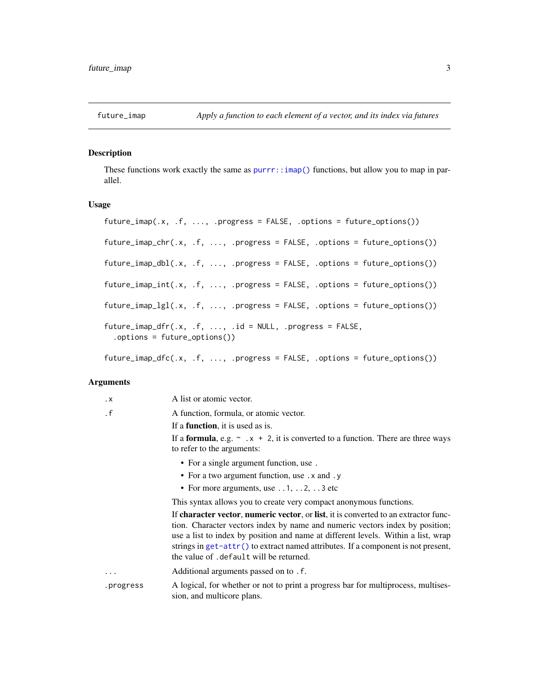<span id="page-2-0"></span>

## Description

These functions work exactly the same as  $\text{purr}: \text{imap}()$  functions, but allow you to map in parallel.

#### Usage

```
future_imap(.x, .f, ..., .progress = FALSE, .options = future_options())
future_imap_chr(.x, .f, ..., .progress = FALSE, .options = future_options())
future_imap_dbl(.x, .f, ..., .progress = FALSE, .options = future_options())
future_imap_int(.x, .f, ..., .progress = FALSE, .options = future_options())
future\_imap\_lgl(x, , f, ..., ) .progress = FALSE, .options = future\_options())future\_imap\_dfr(.x, .f, . . ., .id = NULL, .progress = FALSE,.options = future_options())
```
future\_imap\_dfc(.x, .f, ..., .progress = FALSE, .options = future\_options())

## Arguments

| $\cdot$ X | A list or atomic vector.                                                                                                                                                                                                                                                                                                                                                                     |
|-----------|----------------------------------------------------------------------------------------------------------------------------------------------------------------------------------------------------------------------------------------------------------------------------------------------------------------------------------------------------------------------------------------------|
| $\cdot$ f | A function, formula, or atomic vector.                                                                                                                                                                                                                                                                                                                                                       |
|           | If a <b>function</b> , it is used as is.                                                                                                                                                                                                                                                                                                                                                     |
|           | If a <b>formula</b> , e.g. $\sim x + 2$ , it is converted to a function. There are three ways<br>to refer to the arguments:                                                                                                                                                                                                                                                                  |
|           | • For a single argument function, use.                                                                                                                                                                                                                                                                                                                                                       |
|           | • For a two argument function, use . x and . y                                                                                                                                                                                                                                                                                                                                               |
|           | • For more arguments, use $\dots$ 1, $\dots$ 2, $\dots$ 3 etc                                                                                                                                                                                                                                                                                                                                |
|           | This syntax allows you to create very compact anonymous functions.                                                                                                                                                                                                                                                                                                                           |
|           | If character vector, numeric vector, or list, it is converted to an extractor func-<br>tion. Character vectors index by name and numeric vectors index by position;<br>use a list to index by position and name at different levels. Within a list, wrap<br>strings in $get$ -attr() to extract named attributes. If a component is not present,<br>the value of . default will be returned. |
| .         | Additional arguments passed on to . f.                                                                                                                                                                                                                                                                                                                                                       |
| .progress | A logical, for whether or not to print a progress bar for multiprocess, multises-<br>sion, and multicore plans.                                                                                                                                                                                                                                                                              |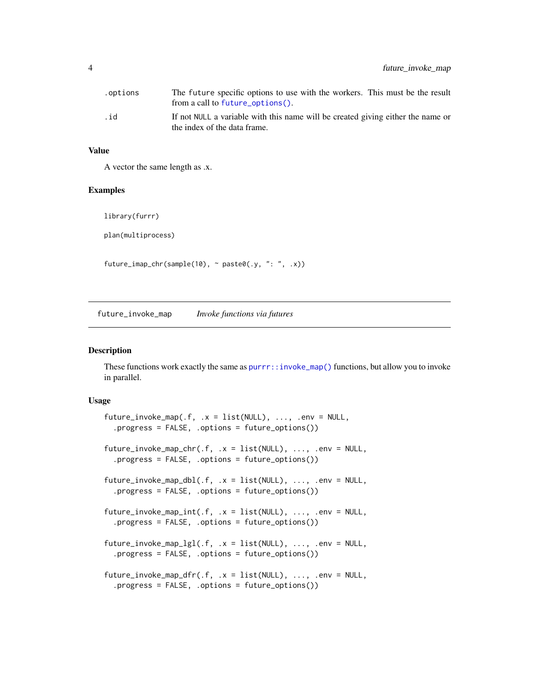<span id="page-3-0"></span>

| .options | The future specific options to use with the workers. This must be the result<br>from a call to future_options(). |
|----------|------------------------------------------------------------------------------------------------------------------|
| .id      | If not NULL a variable with this name will be created giving either the name or<br>the index of the data frame.  |

## Value

A vector the same length as .x.

#### Examples

library(furrr)

plan(multiprocess)

future\_imap\_chr(sample(10), ~ paste0(.y, ": ", .x))

future\_invoke\_map *Invoke functions via futures*

#### Description

These functions work exactly the same as [purrr::invoke\\_map\(\)](#page-0-0) functions, but allow you to invoke in parallel.

## Usage

```
future_invoke_map(.f, .x = list(NULL), ..., .env = NULL,
  .progress = FALSE, .options = future_options())
future\_invoke\_map\_chr(.f, .x = list(NULL), . . . , . env = NULL,.progress = FALSE, .options = future_options())
future_invoke_map_dbl(.f, .x = list(NULL), ..., env = NULL,.progress = FALSE, .options = future_options())
future\_invoke\_map\_int(.f, .x = list(NULL), . . . , . env = NULL,.progress = FALSE, .options = future_options())
future\_invoke\_map\_lgl(.f, .x = list(NULL), . . . , .env = NULL,.progress = FALSE, .options = future_options())
future\_invoke\_map\_dfr(.f, .x = list(NULL), . . . , .env = NULL,.progress = FALSE, .options = future_options())
```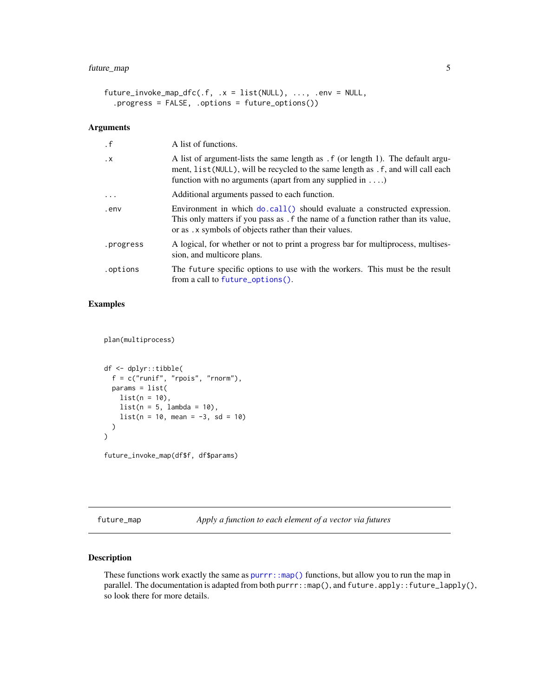```
future\_invoke\_map\_dfc(.f, .x = list(NULL), . . . , . env = NULL,.progress = FALSE, .options = future_options())
```
## Arguments

| $\cdot$ f | A list of functions.                                                                                                                                                                                                                      |
|-----------|-------------------------------------------------------------------------------------------------------------------------------------------------------------------------------------------------------------------------------------------|
| $\cdot$ X | A list of argument-lists the same length as . f (or length 1). The default argu-<br>ment, list (NULL), will be recycled to the same length as . f, and will call each<br>function with no arguments (apart from any supplied in $\dots$ ) |
| .         | Additional arguments passed to each function.                                                                                                                                                                                             |
| .env      | Environment in which do.call() should evaluate a constructed expression.<br>This only matters if you pass as . f the name of a function rather than its value,<br>or as . x symbols of objects rather than their values.                  |
| .progress | A logical, for whether or not to print a progress bar for multiprocess, multises-<br>sion, and multicore plans.                                                                                                                           |
| .options  | The future specific options to use with the workers. This must be the result<br>from a call to future_options().                                                                                                                          |

## Examples

plan(multiprocess)

```
df <- dplyr::tibble(
 f = c("runif", "rpois", "rnorm"),params = list(
   list(n = 10),
   list(n = 5, lambda = 10),list(n = 10, mean = -3, sd = 10))
\mathcal{L}
```
future\_invoke\_map(df\$f, df\$params)

<span id="page-4-1"></span>future\_map *Apply a function to each element of a vector via futures*

## <span id="page-4-2"></span>Description

These functions work exactly the same as [purrr::map\(\)](#page-0-0) functions, but allow you to run the map in parallel. The documentation is adapted from both purrr::map(), and future.apply::future\_lapply(), so look there for more details.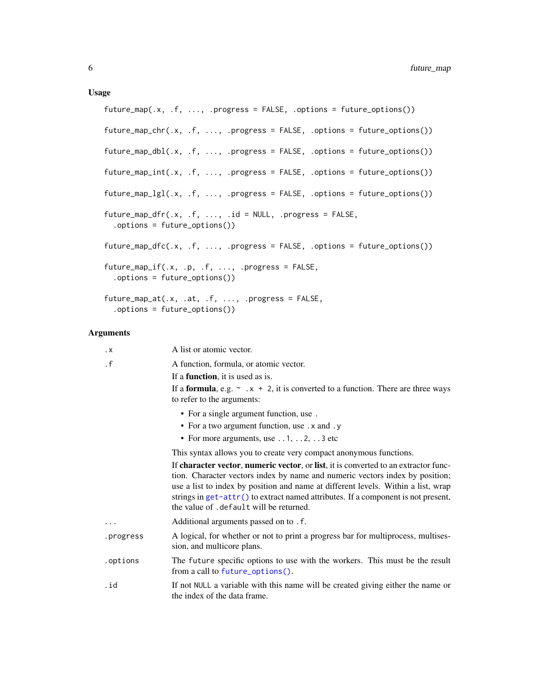## <span id="page-5-0"></span>Usage

```
future_map(.x, .f, ..., .progress = FALSE, .options = future\_options())
future_map_chr(.x, .f, ..., .progress = FALSE, .options = future_options())
future_map_dbl(.x, .f, ..., .progress = FALSE, .options = future_options())
future_map\_int(.x, .f, . . ., .progress = FALSE, .options = future\_options())future_map_lgl(.x, .f, ..., .progress = FALSE, .options = future_options())
future_map_dfr(.x, .f, . . ., .id = NULL, .progress = FALSE,.options = future_options())
future_map_dfc(.x, .f, ..., .progress = FALSE, .options = future_options())
future_map_if(.x, .p, .f, ..., .progress = FALSE,
  .options = future_options())
future_map_at(.x, .at, .f, ..., .progress = FALSE,
  .options = future_options())
```
## Arguments

| $\cdot$ X | A list or atomic vector.                                                                                                                                                                                                                                                                                                                                                                    |
|-----------|---------------------------------------------------------------------------------------------------------------------------------------------------------------------------------------------------------------------------------------------------------------------------------------------------------------------------------------------------------------------------------------------|
| $\cdot$ f | A function, formula, or atomic vector.                                                                                                                                                                                                                                                                                                                                                      |
|           | If a <b>function</b> , it is used as is.                                                                                                                                                                                                                                                                                                                                                    |
|           | If a <b>formula</b> , e.g. $\sim x + 2$ , it is converted to a function. There are three ways<br>to refer to the arguments:                                                                                                                                                                                                                                                                 |
|           | • For a single argument function, use.                                                                                                                                                                                                                                                                                                                                                      |
|           | • For a two argument function, use . x and . y                                                                                                                                                                                                                                                                                                                                              |
|           | • For more arguments, use $\dots$ 1, $\dots$ 2, $\dots$ 3 etc                                                                                                                                                                                                                                                                                                                               |
|           | This syntax allows you to create very compact anonymous functions.                                                                                                                                                                                                                                                                                                                          |
|           | If character vector, numeric vector, or list, it is converted to an extractor func-<br>tion. Character vectors index by name and numeric vectors index by position;<br>use a list to index by position and name at different levels. Within a list, wrap<br>strings in $get$ -attr() to extract named attributes. If a component is not present,<br>the value of .default will be returned. |
|           | Additional arguments passed on to . f.                                                                                                                                                                                                                                                                                                                                                      |
| .progress | A logical, for whether or not to print a progress bar for multiprocess, multises-<br>sion, and multicore plans.                                                                                                                                                                                                                                                                             |
| .options  | The future specific options to use with the workers. This must be the result<br>from a call to future_options().                                                                                                                                                                                                                                                                            |
| .id       | If not NULL a variable with this name will be created giving either the name or<br>the index of the data frame.                                                                                                                                                                                                                                                                             |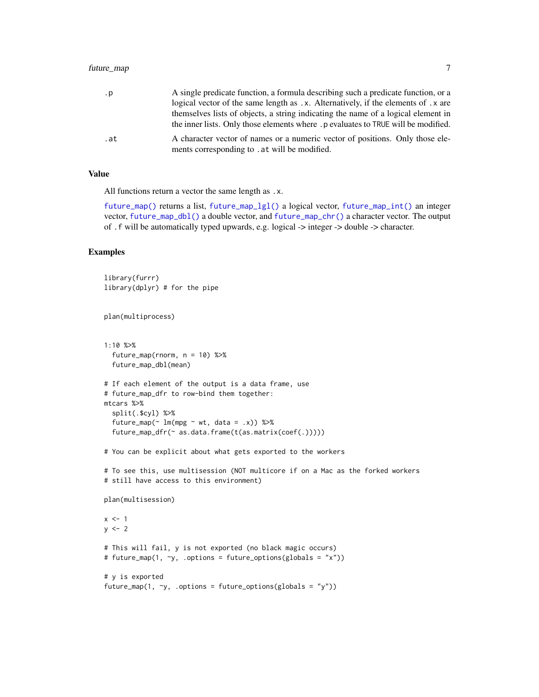## <span id="page-6-0"></span>future\_map 7

| .p  | A single predicate function, a formula describing such a predicate function, or a  |
|-----|------------------------------------------------------------------------------------|
|     | logical vector of the same length as .x. Alternatively, if the elements of .x are  |
|     | themselves lists of objects, a string indicating the name of a logical element in  |
|     | the inner lists. Only those elements where . p evaluates to TRUE will be modified. |
| .at | A character vector of names or a numeric vector of positions. Only those ele-      |
|     | ments corresponding to . at will be modified.                                      |

## Value

All functions return a vector the same length as .x.

[future\\_map\(\)](#page-4-1) returns a list, [future\\_map\\_lgl\(\)](#page-4-2) a logical vector, [future\\_map\\_int\(\)](#page-4-2) an integer vector, [future\\_map\\_dbl\(\)](#page-4-2) a double vector, and [future\\_map\\_chr\(\)](#page-4-2) a character vector. The output of .f will be automatically typed upwards, e.g. logical -> integer -> double -> character.

## Examples

```
library(furrr)
library(dplyr) # for the pipe
plan(multiprocess)
1:10 %>%
 future_map(rnorm, n = 10) %>%
  future_map_dbl(mean)
# If each element of the output is a data frame, use
# future_map_dfr to row-bind them together:
mtcars %>%
  split(.$cyl) %>%
  future_map(\sim lm(mpg \sim wt, data = .x)) %>%
  future_map_dfr(~ as.data.frame(t(as.matrix(coef(.)))))
# You can be explicit about what gets exported to the workers
# To see this, use multisession (NOT multicore if on a Mac as the forked workers
# still have access to this environment)
plan(multisession)
x \le -1y \le -2# This will fail, y is not exported (no black magic occurs)
# future_map(1, ~y, .options = future_options(globals = "x"))
# y is exported
future_map(1, \neg y, .options = future_options(globals = "y"))
```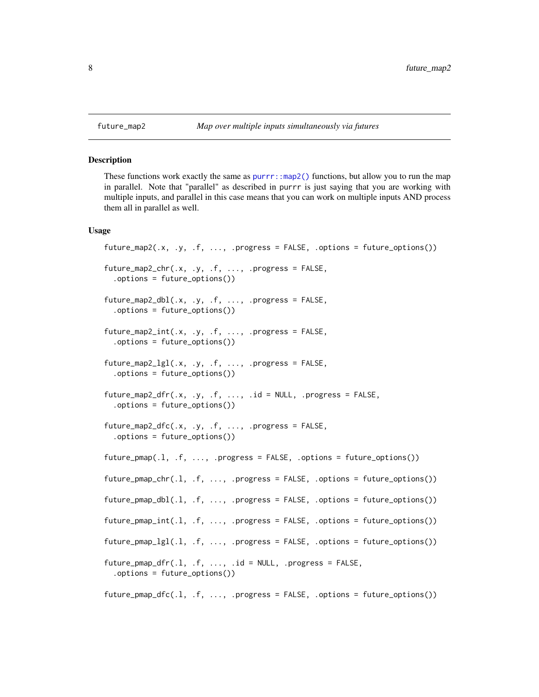<span id="page-7-0"></span>

#### Description

These functions work exactly the same as  $purr:map2()$  functions, but allow you to run the map in parallel. Note that "parallel" as described in purrr is just saying that you are working with multiple inputs, and parallel in this case means that you can work on multiple inputs AND process them all in parallel as well.

## Usage

```
future_map2(.x, .y, .f, ..., .progress = FALSE, .options = future_options())
future_map2_chr(.x, .y, .f, ..., .progress = FALSE,
  .options = future_options())
future_map2_dbl(.x, .y, .f, ..., .progress = FALSE,
  .options = future_options())
future\_map2\_int(.x, .y, .f, . . ., .progress = FALSE,.options = future_options())
future\_map2\_lgl(.x, .y, .f, . . ., .progress = FALSE,.options = future_options())
future_map2_dfr(.x, .y, .f, . . ., .id = NULL, .progress = FALSE,.options = future_options())
future_map2_dfc(.x, .y, .f, . . ., .progress = FALSE,.options = future_options())
future\_pmap(.1, .f, . . ., .progress = FALSE, .options = future\_options())future\_pmap\_chr(.1, .f, ..., ) .progress = FALSE, .options = future\_options())future\_pmap\_dbl(.1, .f, . . . , .progress = FALSE, .options = future\_options())future\_pmap\_int(.1, .f, ..., .progress = FALSE, .options = future\_options())future_pmap_lgl(.l, .f, ..., .progress = FALSE, .options = future_options())
future\_pmap\_dfr(.1, .f, . . ., .id = NULL, .progress = FALSE,.options = future_options())
future_pmap_dfc(.l, .f, ..., .progress = FALSE, .options = future_options())
```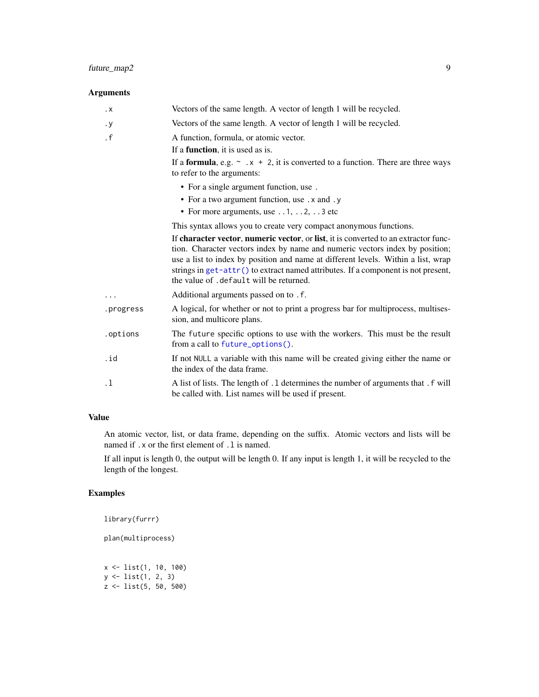## <span id="page-8-0"></span>future\_map2 9

## Arguments

| $\cdot$ X | Vectors of the same length. A vector of length 1 will be recycled.                                                                                                                                                                                                                                                                                                                        |
|-----------|-------------------------------------------------------------------------------------------------------------------------------------------------------------------------------------------------------------------------------------------------------------------------------------------------------------------------------------------------------------------------------------------|
| $\cdot y$ | Vectors of the same length. A vector of length 1 will be recycled.                                                                                                                                                                                                                                                                                                                        |
| $\cdot$ f | A function, formula, or atomic vector.                                                                                                                                                                                                                                                                                                                                                    |
|           | If a <b>function</b> , it is used as is.                                                                                                                                                                                                                                                                                                                                                  |
|           | If a <b>formula</b> , e.g. $\sim x + 2$ , it is converted to a function. There are three ways<br>to refer to the arguments:                                                                                                                                                                                                                                                               |
|           | • For a single argument function, use.                                                                                                                                                                                                                                                                                                                                                    |
|           | • For a two argument function, use .x and .y                                                                                                                                                                                                                                                                                                                                              |
|           | • For more arguments, use $\dots$ 1, $\dots$ 2, $\dots$ 3 etc                                                                                                                                                                                                                                                                                                                             |
|           | This syntax allows you to create very compact anonymous functions.                                                                                                                                                                                                                                                                                                                        |
|           | If character vector, numeric vector, or list, it is converted to an extractor func-<br>tion. Character vectors index by name and numeric vectors index by position;<br>use a list to index by position and name at different levels. Within a list, wrap<br>strings in get-attr() to extract named attributes. If a component is not present,<br>the value of . default will be returned. |
|           | Additional arguments passed on to . f.                                                                                                                                                                                                                                                                                                                                                    |
| .progress | A logical, for whether or not to print a progress bar for multiprocess, multises-<br>sion, and multicore plans.                                                                                                                                                                                                                                                                           |
| .options  | The future specific options to use with the workers. This must be the result<br>from a call to future_options().                                                                                                                                                                                                                                                                          |
| .id       | If not NULL a variable with this name will be created giving either the name or<br>the index of the data frame.                                                                                                                                                                                                                                                                           |
| $\cdot$ 1 | A list of lists. The length of .1 determines the number of arguments that . f will<br>be called with. List names will be used if present.                                                                                                                                                                                                                                                 |

## Value

An atomic vector, list, or data frame, depending on the suffix. Atomic vectors and lists will be named if . x or the first element of . 1 is named.

If all input is length 0, the output will be length 0. If any input is length 1, it will be recycled to the length of the longest.

## Examples

```
library(furrr)
plan(multiprocess)
x <- list(1, 10, 100)
y <- list(1, 2, 3)
z <- list(5, 50, 500)
```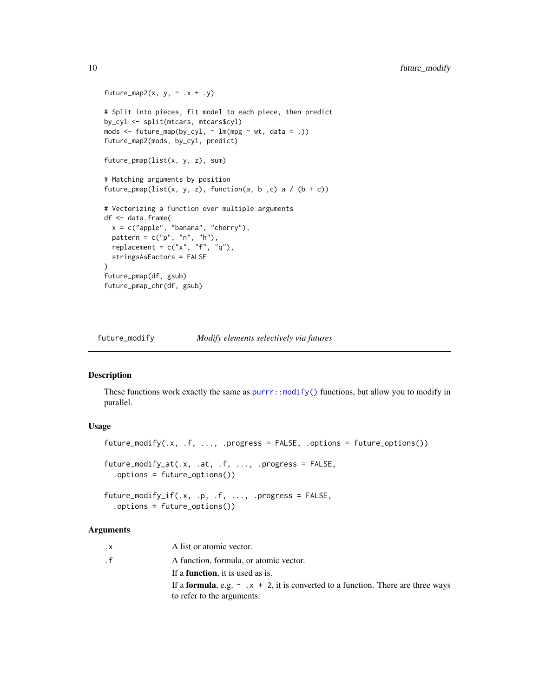```
future_map2(x, y, \sim .x + .y)
# Split into pieces, fit model to each piece, then predict
by_cyl <- split(mtcars, mtcars$cyl)
mods \le future_map(by_cyl, \sim lm(mpg \sim wt, data = .))
future_map2(mods, by_cyl, predict)
future_pmap(list(x, y, z), sum)
# Matching arguments by position
future_pmap(list(x, y, z), function(a, b, c) a / (b + c))
# Vectorizing a function over multiple arguments
df <- data.frame(
  x = c("apple", "banana", "cherry"),
  pattern = c("p", "n", "h"),
  replacement = c("x", "f", "q"),
  stringsAsFactors = FALSE
)
future_pmap(df, gsub)
future_pmap_chr(df, gsub)
```
future\_modify *Modify elements selectively via futures*

## Description

These functions work exactly the same as [purrr::modify\(\)](#page-0-0) functions, but allow you to modify in parallel.

## Usage

```
future_modify(.x, .f, ..., .progress = FALSE, .options = future_options())
future_modify_at(.x, .at, .f, ..., .progress = FALSE,
  .options = future_options())
future_modify_if(.x, .p, .f, ..., .progress = FALSE,
  .options = future_options())
```
#### **Arguments**

| $\cdot$ X | A list or atomic vector.                                                                      |
|-----------|-----------------------------------------------------------------------------------------------|
| . f       | A function, formula, or atomic vector.                                                        |
|           | If a <b>function</b> , it is used as is.                                                      |
|           | If a <b>formula</b> , e.g. $\sim x + 2$ , it is converted to a function. There are three ways |
|           | to refer to the arguments:                                                                    |

<span id="page-9-0"></span>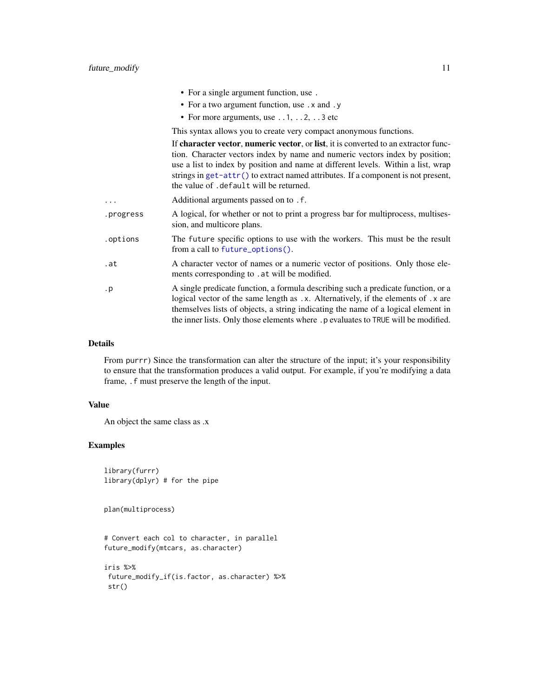<span id="page-10-0"></span>

|           | • For a single argument function, use.                                                                                                                                                                                                                                                                                                                                                      |
|-----------|---------------------------------------------------------------------------------------------------------------------------------------------------------------------------------------------------------------------------------------------------------------------------------------------------------------------------------------------------------------------------------------------|
|           | • For a two argument function, use . x and . y                                                                                                                                                                                                                                                                                                                                              |
|           | • For more arguments, use $\dots$ 1, $\dots$ 2, $\dots$ 3 etc                                                                                                                                                                                                                                                                                                                               |
|           | This syntax allows you to create very compact anonymous functions.                                                                                                                                                                                                                                                                                                                          |
|           | If character vector, numeric vector, or list, it is converted to an extractor func-<br>tion. Character vectors index by name and numeric vectors index by position;<br>use a list to index by position and name at different levels. Within a list, wrap<br>strings in $get$ -attr() to extract named attributes. If a component is not present,<br>the value of .default will be returned. |
| .         | Additional arguments passed on to . f.                                                                                                                                                                                                                                                                                                                                                      |
| .progress | A logical, for whether or not to print a progress bar for multiprocess, multises-<br>sion, and multicore plans.                                                                                                                                                                                                                                                                             |
| .options  | The future specific options to use with the workers. This must be the result<br>from a call to future_options().                                                                                                                                                                                                                                                                            |
| .at       | A character vector of names or a numeric vector of positions. Only those ele-<br>ments corresponding to . at will be modified.                                                                                                                                                                                                                                                              |
| . p       | A single predicate function, a formula describing such a predicate function, or a<br>logical vector of the same length as .x. Alternatively, if the elements of .x are<br>themselves lists of objects, a string indicating the name of a logical element in<br>the inner lists. Only those elements where . p evaluates to TRUE will be modified.                                           |
|           |                                                                                                                                                                                                                                                                                                                                                                                             |

## Details

From purrr) Since the transformation can alter the structure of the input; it's your responsibility to ensure that the transformation produces a valid output. For example, if you're modifying a data frame, .f must preserve the length of the input.

## Value

An object the same class as .x

## Examples

```
library(furrr)
library(dplyr) # for the pipe
```
plan(multiprocess)

```
# Convert each col to character, in parallel
future_modify(mtcars, as.character)
```

```
iris %>%
future_modify_if(is.factor, as.character) %>%
str()
```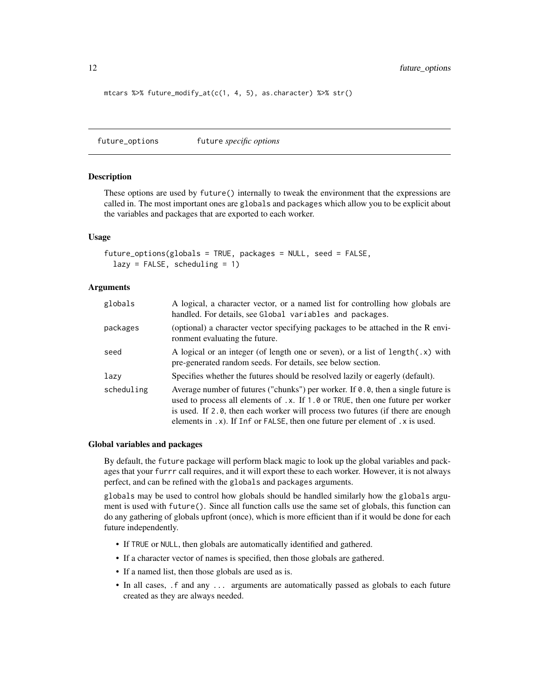<span id="page-11-0"></span>mtcars %>% future\_modify\_at(c(1, 4, 5), as.character) %>% str()

<span id="page-11-1"></span>future\_options future *specific options*

#### **Description**

These options are used by future() internally to tweak the environment that the expressions are called in. The most important ones are globals and packages which allow you to be explicit about the variables and packages that are exported to each worker.

#### Usage

```
future_options(globals = TRUE, packages = NULL, seed = FALSE,
  lazy = FALSE, scheduling = 1)
```
## Arguments

| globals    | A logical, a character vector, or a named list for controlling how globals are<br>handled. For details, see Global variables and packages.                                                                                                                                                                                            |
|------------|---------------------------------------------------------------------------------------------------------------------------------------------------------------------------------------------------------------------------------------------------------------------------------------------------------------------------------------|
| packages   | (optional) a character vector specifying packages to be attached in the R envi-<br>ronment evaluating the future.                                                                                                                                                                                                                     |
| seed       | A logical or an integer (of length one or seven), or a list of length $(x)$ with<br>pre-generated random seeds. For details, see below section.                                                                                                                                                                                       |
| lazy       | Specifies whether the futures should be resolved lazily or eagerly (default).                                                                                                                                                                                                                                                         |
| scheduling | Average number of futures ("chunks") per worker. If 0.0, then a single future is<br>used to process all elements of .x. If 1.0 or TRUE, then one future per worker<br>is used. If 2.0, then each worker will process two futures (if there are enough<br>elements in .x). If Inf or FALSE, then one future per element of .x is used. |

## Global variables and packages

By default, the future package will perform black magic to look up the global variables and packages that your furrr call requires, and it will export these to each worker. However, it is not always perfect, and can be refined with the globals and packages arguments.

globals may be used to control how globals should be handled similarly how the globals argument is used with future(). Since all function calls use the same set of globals, this function can do any gathering of globals upfront (once), which is more efficient than if it would be done for each future independently.

- If TRUE or NULL, then globals are automatically identified and gathered.
- If a character vector of names is specified, then those globals are gathered.
- If a named list, then those globals are used as is.
- In all cases, .f and any ... arguments are automatically passed as globals to each future created as they are always needed.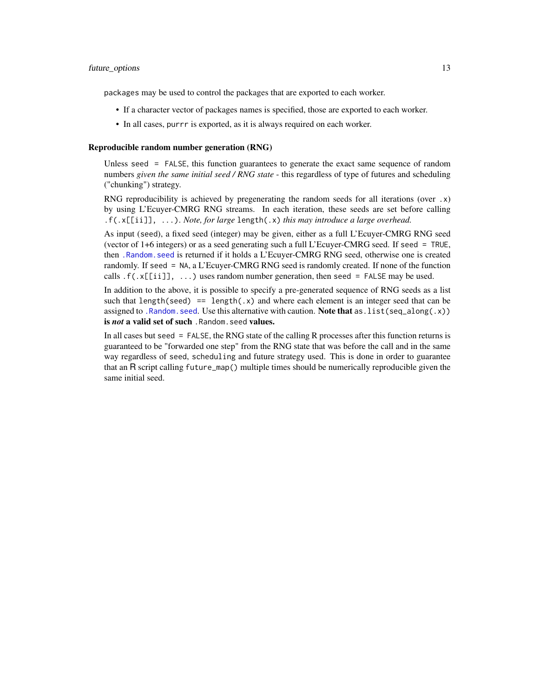<span id="page-12-0"></span>packages may be used to control the packages that are exported to each worker.

- If a character vector of packages names is specified, those are exported to each worker.
- In all cases, purrr is exported, as it is always required on each worker.

#### Reproducible random number generation (RNG)

Unless seed = FALSE, this function guarantees to generate the exact same sequence of random numbers *given the same initial seed / RNG state* - this regardless of type of futures and scheduling ("chunking") strategy.

RNG reproducibility is achieved by pregenerating the random seeds for all iterations (over .x) by using L'Ecuyer-CMRG RNG streams. In each iteration, these seeds are set before calling .f(.x[[ii]], ...). *Note, for large* length(.x) *this may introduce a large overhead.*

As input (seed), a fixed seed (integer) may be given, either as a full L'Ecuyer-CMRG RNG seed (vector of 1+6 integers) or as a seed generating such a full L'Ecuyer-CMRG seed. If seed = TRUE, then [.Random.seed](#page-0-0) is returned if it holds a L'Ecuyer-CMRG RNG seed, otherwise one is created randomly. If seed = NA, a L'Ecuyer-CMRG RNG seed is randomly created. If none of the function calls  $.f(.x[[iii]], ...)$  uses random number generation, then seed = FALSE may be used.

In addition to the above, it is possible to specify a pre-generated sequence of RNG seeds as a list such that length(seed) == length( $.x$ ) and where each element is an integer seed that can be assigned to . Random. seed. Use this alternative with caution. Note that as . list(seq\_along(.x)) is *not* a valid set of such. Random. seed values.

In all cases but seed = FALSE, the RNG state of the calling R processes after this function returns is guaranteed to be "forwarded one step" from the RNG state that was before the call and in the same way regardless of seed, scheduling and future strategy used. This is done in order to guarantee that an R script calling future\_map() multiple times should be numerically reproducible given the same initial seed.